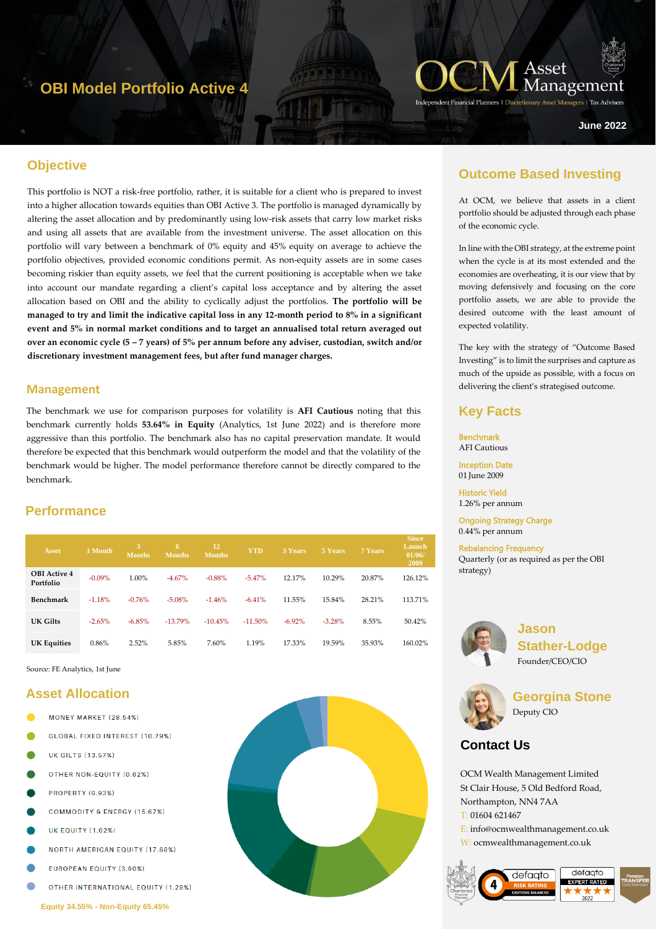## **OBI Model Portfolio Active 4**



ers | Tax Adviser

**June 2022**

## **Objective**

This portfolio is NOT a risk-free portfolio, rather, it is suitable for a client who is prepared to invest into a higher allocation towards equities than OBI Active 3. The portfolio is managed dynamically by altering the asset allocation and by predominantly using low-risk assets that carry low market risks and using all assets that are available from the investment universe. The asset allocation on this portfolio will vary between a benchmark of 0% equity and 45% equity on average to achieve the portfolio objectives, provided economic conditions permit. As non-equity assets are in some cases becoming riskier than equity assets, we feel that the current positioning is acceptable when we take into account our mandate regarding a client's capital loss acceptance and by altering the asset allocation based on OBI and the ability to cyclically adjust the portfolios. **The portfolio will be managed to try and limit the indicative capital loss in any 12-month period to 8% in a significant event and 5% in normal market conditions and to target an annualised total return averaged out over an economic cycle (5 – 7 years) of 5% per annum before any adviser, custodian, switch and/or discretionary investment management fees, but after fund manager charges.**

#### **Management**

The benchmark we use for comparison purposes for volatility is **AFI Cautious** noting that this benchmark currently holds **53.64% in Equity** (Analytics, 1st June 2022) and is therefore more aggressive than this portfolio. The benchmark also has no capital preservation mandate. It would therefore be expected that this benchmark would outperform the model and that the volatility of the benchmark would be higher. The model performance therefore cannot be directly compared to the benchmark.

## **Performance**

| <b>Asset</b>                     | 1 Month   | <b>Months</b> | 6<br><b>Months</b> | 12<br><b>Months</b> | <b>YTD</b> | 3 Years   | 5 Years  | 7 Years | <b>Since</b><br>Launch<br>01/06/<br>2009 |
|----------------------------------|-----------|---------------|--------------------|---------------------|------------|-----------|----------|---------|------------------------------------------|
| <b>OBI</b> Active 4<br>Portfolio | $-0.09\%$ | 1.00%         | $-4.67%$           | $-0.88%$            | $-5.47%$   | 12.17%    | 10.29%   | 20.87%  | 126.12%                                  |
| Benchmark                        | $-1.18%$  | $-0.76%$      | $-5.08%$           | $-1.46%$            | $-6.41%$   | 11.55%    | 15.84%   | 28.21%  | 113.71%                                  |
| UK Gilts                         | $-2.65%$  | $-6.85%$      | $-13.79%$          | $-10.45%$           | $-11.50%$  | $-6.92\%$ | $-3.28%$ | 8.55%   | 50.42%                                   |
| <b>UK Equities</b>               | 0.86%     | 2.52%         | 5.85%              | 7.60%               | 1.19%      | 17.33%    | 19.59%   | 35.93%  | 160.02%                                  |

Source: FE Analytics, 1st June

#### **Asset Allocation**

- MONEY MARKET (28.54%)
- GLOBAL FIXED INTEREST (10.79%)
- **UK GILTS (13.57%)**
- OTHER NON-EQUITY (0.62%)
- **PROPERTY (6.93%)**
- **COMMODITY & ENERGY (15.67%)**
- **UK EQUITY (1.02%)**
- **NORTH AMERICAN EQUITY (17.68%)**
- EUROPEAN EQUITY (3.90%)
- OTHER INTERNATIONAL EQUITY (1.28%)



## **Outcome Based Investing**

At OCM, we believe that assets in a client portfolio should be adjusted through each phase of the economic cycle.

In line with the OBI strategy, at the extreme point when the cycle is at its most extended and the economies are overheating, it is our view that by moving defensively and focusing on the core portfolio assets, we are able to provide the desired outcome with the least amount of expected volatility.

The key with the strategy of "Outcome Based Investing" is to limit the surprises and capture as much of the upside as possible, with a focus on delivering the client's strategised outcome.

### **Key Facts**

Benchmark AFI Cautious

Inception Date 01 June 2009

Historic Yield 1.26% per annum

Ongoing Strategy Charge 0.44% per annum

Rebalancing Frequency Quarterly (or as required as per the OBI strategy)



**Jason Stather-Lodge** Founder/CEO/CIO



**Georgina Stone** Deputy CIO

## **Contact Us**

OCM Wealth Management Limited St Clair House, 5 Old Bedford Road, Northampton, NN4 7AA T: 01604 621467 E: info@ocmwealthmanagement.co.uk W: ocmwealthmanagement.co.uk